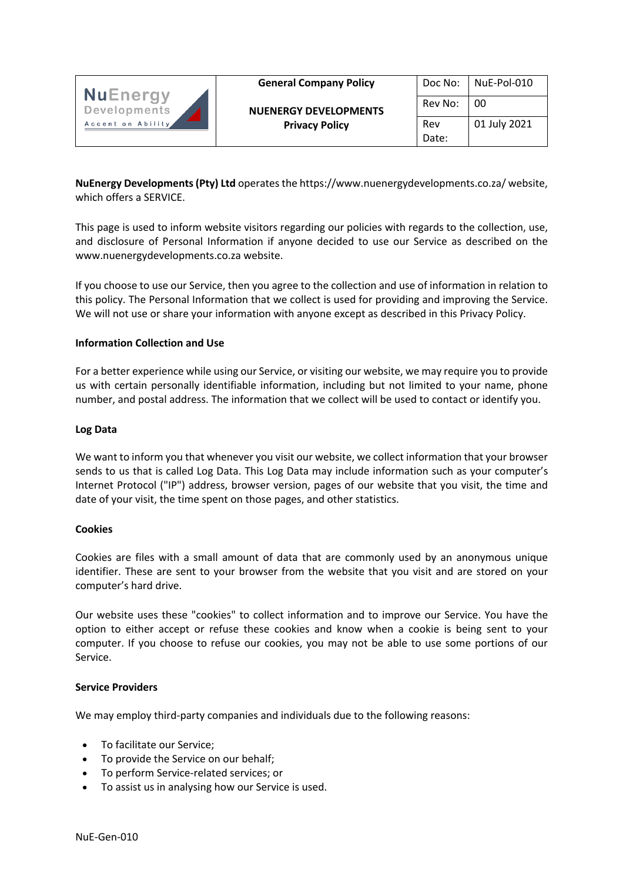

| Doc No: | NuE-Pol-010  |
|---------|--------------|
| Rev No: | 00           |
| Rev     | 01 July 2021 |
| Date:   |              |

**NuEnergy Developments (Pty) Ltd** operates the https://www.nuenergydevelopments.co.za/ website, which offers a SERVICE.

This page is used to inform website visitors regarding our policies with regards to the collection, use, and disclosure of Personal Information if anyone decided to use our Service as described on the www.nuenergydevelopments.co.za website.

If you choose to use our Service, then you agree to the collection and use of information in relation to this policy. The Personal Information that we collect is used for providing and improving the Service. We will not use or share your information with anyone except as described in this Privacy Policy.

## **Information Collection and Use**

For a better experience while using our Service, or visiting our website, we may require you to provide us with certain personally identifiable information, including but not limited to your name, phone number, and postal address. The information that we collect will be used to contact or identify you.

### **Log Data**

We want to inform you that whenever you visit our website, we collect information that your browser sends to us that is called Log Data. This Log Data may include information such as your computer's Internet Protocol ("IP") address, browser version, pages of our website that you visit, the time and date of your visit, the time spent on those pages, and other statistics.

## **Cookies**

Cookies are files with a small amount of data that are commonly used by an anonymous unique identifier. These are sent to your browser from the website that you visit and are stored on your computer's hard drive.

Our website uses these "cookies" to collect information and to improve our Service. You have the option to either accept or refuse these cookies and know when a cookie is being sent to your computer. If you choose to refuse our cookies, you may not be able to use some portions of our Service.

## **Service Providers**

We may employ third-party companies and individuals due to the following reasons:

- To facilitate our Service;
- To provide the Service on our behalf;
- To perform Service-related services; or
- To assist us in analysing how our Service is used.